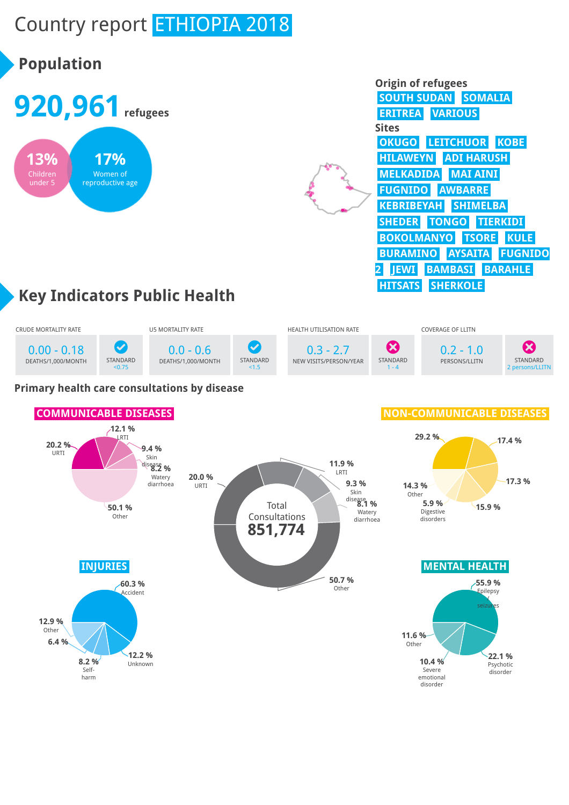# Country report ETHIOPIA 2018

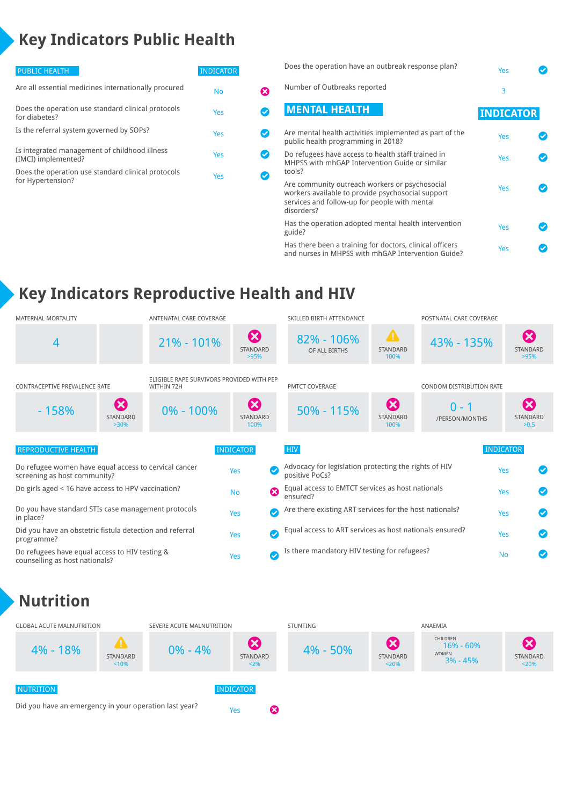# **Key Indicators Public Health**

| <b>PUBLIC HEALTH</b>                                                    | <b>INDICATOR</b> |  |
|-------------------------------------------------------------------------|------------------|--|
| Are all essential medicines internationally procured                    | No               |  |
| Does the operation use standard clinical protocols<br>for diabetes?     | Yes              |  |
| Is the referral system governed by SOPs?                                | Yes              |  |
| Is integrated management of childhood illness<br>(IMCI) implemented?    | Yes              |  |
| Does the operation use standard clinical protocols<br>for Hypertension? | Yes              |  |
|                                                                         |                  |  |

| Does the operation have an outbreak response plan?                                                                                                                 | Yes              |  |
|--------------------------------------------------------------------------------------------------------------------------------------------------------------------|------------------|--|
| Number of Outbreaks reported                                                                                                                                       | 3                |  |
| <b>MENTAL HEALTH</b>                                                                                                                                               | <b>INDICATOR</b> |  |
| Are mental health activities implemented as part of the<br>public health programming in 2018?                                                                      | Yes              |  |
| Do refugees have access to health staff trained in<br>MHPSS with mhGAP Intervention Guide or similar<br>tools?                                                     | Yes              |  |
| Are community outreach workers or psychosocial<br>workers available to provide psychosocial support<br>services and follow-up for people with mental<br>disorders? | Yes              |  |
| Has the operation adopted mental health intervention<br>guide?                                                                                                     | Yes              |  |
| Has there been a training for doctors, clinical officers<br>and nurses in MHPSS with mhGAP Intervention Guide?                                                     | Yes              |  |

# **Key Indicators Reproductive Health and HIV**

| <b>MATERNAL MORTALITY</b>                                                               |                                              | ANTENATAL CARE COVERAGE                                 |                                                  |                                                         | SKILLED BIRTH ATTENDANCE                                                |                                                  | POSTNATAL CARE COVERAGE   |                  |                                                      |
|-----------------------------------------------------------------------------------------|----------------------------------------------|---------------------------------------------------------|--------------------------------------------------|---------------------------------------------------------|-------------------------------------------------------------------------|--------------------------------------------------|---------------------------|------------------|------------------------------------------------------|
| 4                                                                                       |                                              | $21\% - 101\%$                                          | $\boldsymbol{\Omega}$<br>STANDARD<br>>95%        |                                                         | 82% - 106%<br>OF ALL BIRTHS                                             | $\blacktriangle$<br>STANDARD<br>100%             | 43% - 135%                |                  | $\boldsymbol{\Omega}$<br>STANDARD<br>>95%            |
| <b>CONTRACEPTIVE PREVALENCE RATE</b>                                                    |                                              | ELIGIBLE RAPE SURVIVORS PROVIDED WITH PEP<br>WITHIN 72H |                                                  |                                                         | <b>PMTCT COVERAGE</b>                                                   |                                                  | CONDOM DISTRIBUTION RATE  |                  |                                                      |
| $-158%$                                                                                 | $\boldsymbol{\Omega}$<br>STANDARD<br>$>30\%$ | $0\% - 100\%$                                           | $\boldsymbol{\Omega}$<br><b>STANDARD</b><br>100% |                                                         | 50% - 115%                                                              | $\boldsymbol{\omega}$<br><b>STANDARD</b><br>100% | $0 - 1$<br>/PERSON/MONTHS |                  | $\boldsymbol{\mathbf{X}}$<br><b>STANDARD</b><br>>0.5 |
| <b>REPRODUCTIVE HEALTH</b>                                                              |                                              |                                                         | <b>INDICATOR</b>                                 |                                                         | <b>HIV</b>                                                              |                                                  |                           | <b>INDICATOR</b> |                                                      |
| Do refugee women have equal access to cervical cancer<br>screening as host community?   |                                              |                                                         | Yes                                              | $\bullet$                                               | Advocacy for legislation protecting the rights of HIV<br>positive PoCs? |                                                  |                           | Yes              |                                                      |
| Do girls aged < 16 have access to HPV vaccination?                                      |                                              |                                                         | <b>No</b>                                        | $\boldsymbol{\Omega}$                                   | Equal access to EMTCT services as host nationals<br>ensured?            |                                                  |                           | Yes              |                                                      |
| Do you have standard STIs case management protocols<br>Yes<br>in place?                 |                                              |                                                         |                                                  | $\bm{\sigma}$                                           | Are there existing ART services for the host nationals?                 |                                                  |                           |                  |                                                      |
| Did you have an obstetric fistula detection and referral<br>Yes<br>programme?           |                                              |                                                         | Ø                                                | Equal access to ART services as host nationals ensured? |                                                                         |                                                  |                           |                  |                                                      |
| Do refugees have equal access to HIV testing &<br>Yes<br>counselling as host nationals? |                                              | Ø                                                       | Is there mandatory HIV testing for refugees?     |                                                         |                                                                         |                                                  |                           |                  |                                                      |

#### **Nutrition**